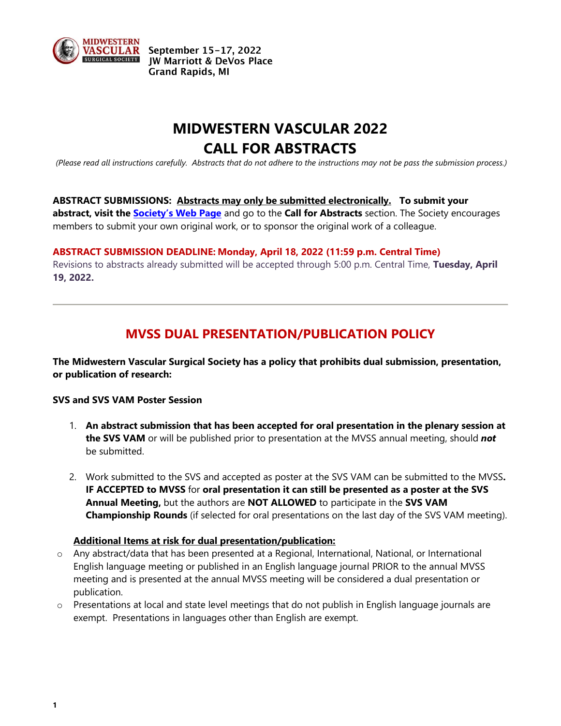

September 15-17, 2022 **IW Marriott & DeVos Place Grand Rapids, MI** 

# **MIDWESTERN VASCULAR 2022 CALL FOR ABSTRACTS**

*(Please read all instructions carefully. Abstracts that do not adhere to the instructions may not be pass the submission process.)*

**ABSTRACT SUBMISSIONS: Abstracts may only be submitted electronically. To submit your abstract, visit the Society's Web Page** and go to the **Call for Abstracts** section. The Society encourages members to submit your own original work, or to sponsor the original work of a colleague.

### **ABSTRACT SUBMISSION DEADLINE: Monday, April 18, 2022 (11:59 p.m. Central Time)**

Revisions to abstracts already submitted will be accepted through 5:00 p.m. Central Time, **Tuesday, April 19, 2022.**

## **MVSS DUAL PRESENTATION/PUBLICATION POLICY**

**The Midwestern Vascular Surgical Society has a policy that prohibits dual submission, presentation, or publication of research:**

#### **SVS and SVS VAM Poster Session**

- 1. **An abstract submission that has been accepted for oral presentation in the plenary session at the SVS VAM** or will be published prior to presentation at the MVSS annual meeting, should *not* be submitted.
- 2. Work submitted to the SVS and accepted as poster at the SVS VAM can be submitted to the MVSS**. IF ACCEPTED to MVSS** for **oral presentation it can still be presented as a poster at the SVS Annual Meeting,** but the authors are **NOT ALLOWED** to participate in the **SVS VAM Championship Rounds** (if selected for oral presentations on the last day of the SVS VAM meeting).

#### **Additional Items at risk for dual presentation/publication:**

- o Any abstract/data that has been presented at a Regional, International, National, or International English language meeting or published in an English language journal PRIOR to the annual MVSS meeting and is presented at the annual MVSS meeting will be considered a dual presentation or publication.
- o Presentations at local and state level meetings that do not publish in English language journals are exempt. Presentations in languages other than English are exempt.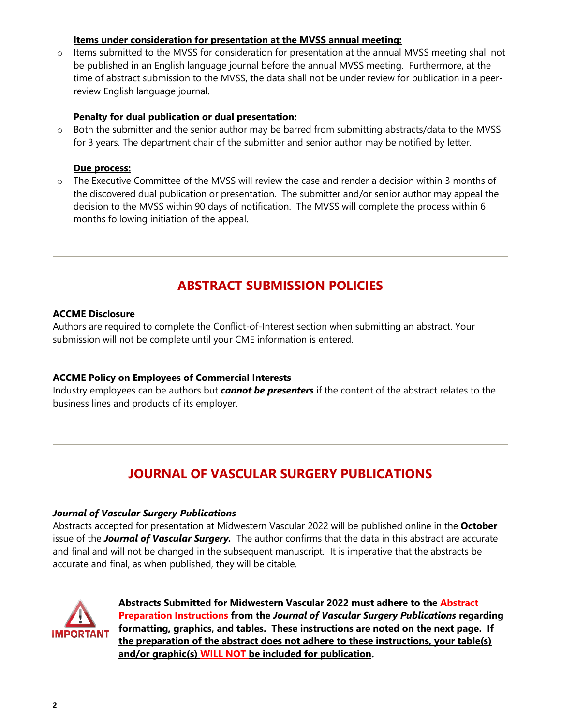## **Items under consideration for presentation at the MVSS annual meeting:**

 $\circ$  Items submitted to the MVSS for consideration for presentation at the annual MVSS meeting shall not be published in an English language journal before the annual MVSS meeting. Furthermore, at the time of abstract submission to the MVSS, the data shall not be under review for publication in a peerreview English language journal.

### **Penalty for dual publication or dual presentation:**

o Both the submitter and the senior author may be barred from submitting abstracts/data to the MVSS for 3 years. The department chair of the submitter and senior author may be notified by letter.

### **Due process:**

 $\circ$  The Executive Committee of the MVSS will review the case and render a decision within 3 months of the discovered dual publication or presentation. The submitter and/or senior author may appeal the decision to the MVSS within 90 days of notification. The MVSS will complete the process within 6 months following initiation of the appeal.

## **ABSTRACT SUBMISSION POLICIES**

#### **ACCME Disclosure**

Authors are required to complete the Conflict-of-Interest section when submitting an abstract. Your submission will not be complete until your CME information is entered.

## **ACCME Policy on Employees of Commercial Interests**

Industry employees can be authors but *cannot be presenters* if the content of the abstract relates to the business lines and products of its employer.

## **JOURNAL OF VASCULAR SURGERY PUBLICATIONS**

#### *Journal of Vascular Surgery Publications*

Abstracts accepted for presentation at Midwestern Vascular 2022 will be published online in the **October** issue of the *Journal of Vascular Surgery.* The author confirms that the data in this abstract are accurate and final and will not be changed in the subsequent manuscript. It is imperative that the abstracts be accurate and final, as when published, they will be citable.



**Abstracts Submitted for Midwestern Vascular 2022 must adhere to the Abstract Preparation Instructions from the** *Journal of Vascular Surgery Publications* **regarding formatting, graphics, and tables. These instructions are noted on the next page. If the preparation of the abstract does not adhere to these instructions, your table(s) and/or graphic(s) WILL NOT be included for publication.**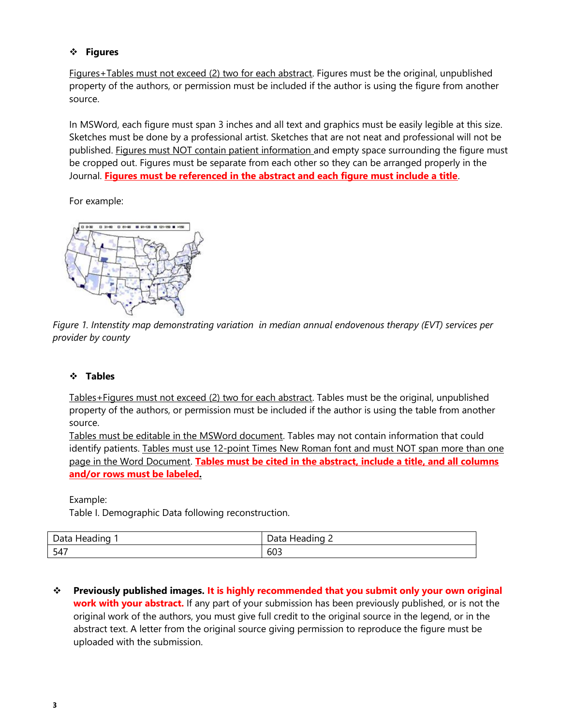## **Figures**

Figures+Tables must not exceed (2) two for each abstract. Figures must be the original, unpublished property of the authors, or permission must be included if the author is using the figure from another source.

In MSWord, each figure must span 3 inches and all text and graphics must be easily legible at this size. Sketches must be done by a professional artist. Sketches that are not neat and professional will not be published. Figures must NOT contain patient information and empty space surrounding the figure must be cropped out. Figures must be separate from each other so they can be arranged properly in the Journal. **Figures must be referenced in the abstract and each figure must include a title**.

For example:



*Figure 1. Intenstity map demonstrating variation in median annual endovenous therapy (EVT) services per provider by county*

## **Tables**

Tables+Figures must not exceed (2) two for each abstract. Tables must be the original, unpublished property of the authors, or permission must be included if the author is using the table from another source.

Tables must be editable in the MSWord document. Tables may not contain information that could identify patients. Tables must use 12-point Times New Roman font and must NOT span more than one page in the Word Document. **Tables must be cited in the abstract, include a title, and all columns and/or rows must be labeled.**

Example:

Table I. Demographic Data following reconstruction.

| $\cdot$<br>Data<br>Heading | <br>-<br>Heading<br>Data<br>- |
|----------------------------|-------------------------------|
| 547                        | r n 7<br>603                  |

 **Previously published images. It is highly recommended that you submit only your own original work with your abstract.** If any part of your submission has been previously published, or is not the original work of the authors, you must give full credit to the original source in the legend, or in the abstract text. A letter from the original source giving permission to reproduce the figure must be uploaded with the submission.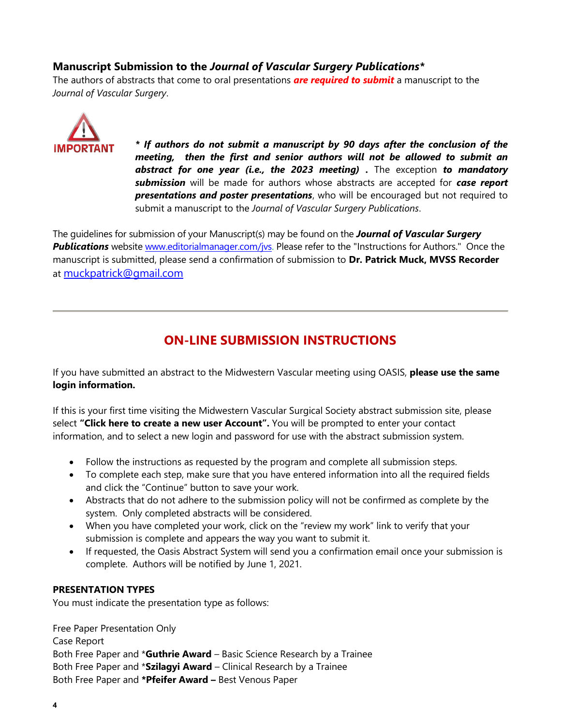## **Manuscript Submission to the** *Journal of Vascular Surgery Publications\**

The authors of abstracts that come to oral presentations *are required to submit* a manuscript to the *Journal of Vascular Surgery*.



*\* If authors do not submit a manuscript by 90 days after the conclusion of the meeting, then the first and senior authors will not be allowed to submit an abstract for one year (i.e., the 2023 meeting) .* The exception *to mandatory submission* will be made for authors whose abstracts are accepted for *case report presentations and poster presentations*, who will be encouraged but not required to submit a manuscript to the *Journal of Vascular Surgery Publications*.

The guidelines for submission of your Manuscript(s) may be found on the *Journal of Vascular Surgery*  **Publications** website [www.editorialmanager.com/jvs.](about:blank) Please refer to the "Instructions for Authors." Once the manuscript is submitted, please send a confirmation of submission to **Dr. Patrick Muck, MVSS Recorder** at [muckpatrick@gmail.com](about:blank)

## **ON-LINE SUBMISSION INSTRUCTIONS**

If you have submitted an abstract to the Midwestern Vascular meeting using OASIS, **please use the same login information.** 

If this is your first time visiting the Midwestern Vascular Surgical Society abstract submission site, please select **"Click here to create a new user Account".** You will be prompted to enter your contact information, and to select a new login and password for use with the abstract submission system.

- Follow the instructions as requested by the program and complete all submission steps.
- To complete each step, make sure that you have entered information into all the required fields and click the "Continue" button to save your work.
- Abstracts that do not adhere to the submission policy will not be confirmed as complete by the system. Only completed abstracts will be considered.
- When you have completed your work, click on the "review my work" link to verify that your submission is complete and appears the way you want to submit it.
- If requested, the Oasis Abstract System will send you a confirmation email once your submission is complete. Authors will be notified by June 1, 2021.

## **PRESENTATION TYPES**

You must indicate the presentation type as follows:

Free Paper Presentation Only Case Report Both Free Paper and \***Guthrie Award** – Basic Science Research by a Trainee Both Free Paper and \***Szilagyi Award** – Clinical Research by a Trainee Both Free Paper and **\*Pfeifer Award –** Best Venous Paper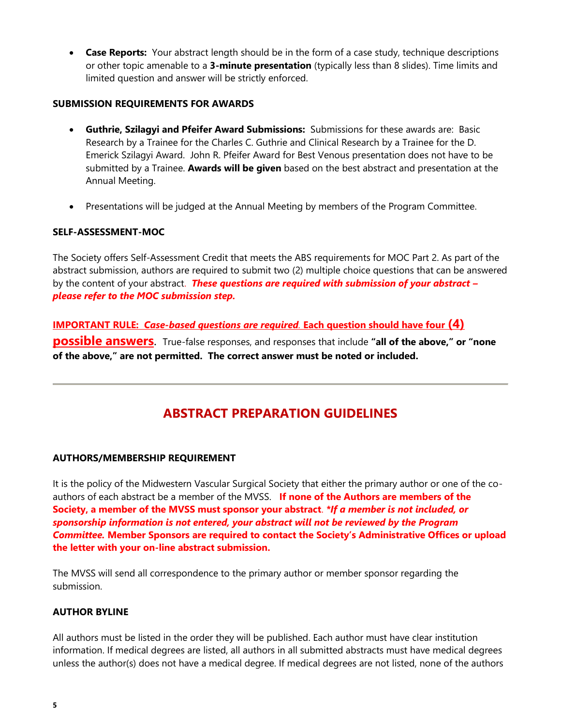**Case Reports:** Your abstract length should be in the form of a case study, technique descriptions or other topic amenable to a **3-minute presentation** (typically less than 8 slides). Time limits and limited question and answer will be strictly enforced.

### **SUBMISSION REQUIREMENTS FOR AWARDS**

- **Guthrie, Szilagyi and Pfeifer Award Submissions:** Submissions for these awards are: Basic Research by a Trainee for the Charles C. Guthrie and Clinical Research by a Trainee for the D. Emerick Szilagyi Award. John R. Pfeifer Award for Best Venous presentation does not have to be submitted by a Trainee. **Awards will be given** based on the best abstract and presentation at the Annual Meeting.
- Presentations will be judged at the Annual Meeting by members of the Program Committee.

### **SELF-ASSESSMENT-MOC**

The Society offers Self-Assessment Credit that meets the ABS requirements for MOC Part 2. As part of the abstract submission, authors are required to submit two (2) multiple choice questions that can be answered by the content of your abstract. *These questions are required with submission of your abstract – please refer to the MOC submission step.*

**IMPORTANT RULE:** *Case-based questions are required.* **Each question should have four (4) possible answers**. True-false responses, and responses that include **"all of the above," or "none of the above," are not permitted. The correct answer must be noted or included.**

## **ABSTRACT PREPARATION GUIDELINES**

#### **AUTHORS/MEMBERSHIP REQUIREMENT**

It is the policy of the Midwestern Vascular Surgical Society that either the primary author or one of the coauthors of each abstract be a member of the MVSS. **If none of the Authors are members of the Society, a member of the MVSS must sponsor your abstract**. *\*If a member is not included, or sponsorship information is not entered, your abstract will not be reviewed by the Program Committee.* **Member Sponsors are required to contact the Society's Administrative Offices or upload the letter with your on-line abstract submission.**

The MVSS will send all correspondence to the primary author or member sponsor regarding the submission.

#### **AUTHOR BYLINE**

All authors must be listed in the order they will be published. Each author must have clear institution information. If medical degrees are listed, all authors in all submitted abstracts must have medical degrees unless the author(s) does not have a medical degree. If medical degrees are not listed, none of the authors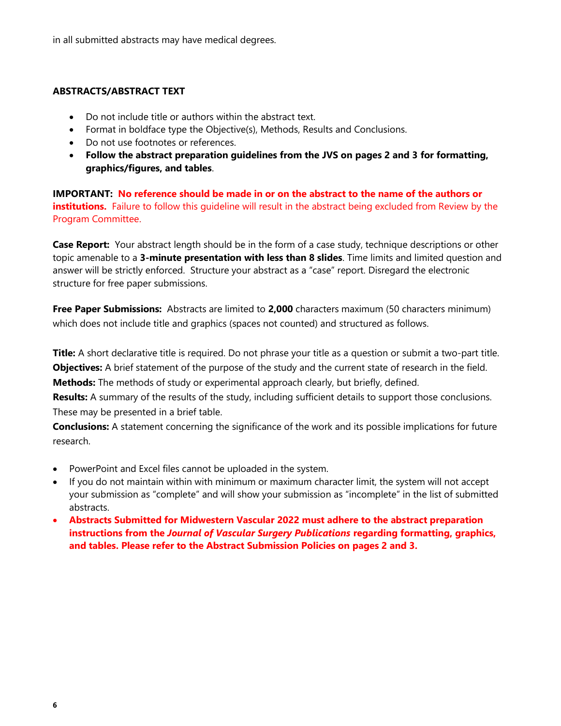in all submitted abstracts may have medical degrees.

## **ABSTRACTS/ABSTRACT TEXT**

- Do not include title or authors within the abstract text.
- Format in boldface type the Objective(s), Methods, Results and Conclusions.
- Do not use footnotes or references.
- **Follow the abstract preparation guidelines from the JVS on pages 2 and 3 for formatting, graphics/figures, and tables**.

**IMPORTANT: No reference should be made in or on the abstract to the name of the authors or institutions.** Failure to follow this quideline will result in the abstract being excluded from Review by the Program Committee.

**Case Report:** Your abstract length should be in the form of a case study, technique descriptions or other topic amenable to a **3-minute presentation with less than 8 slides**. Time limits and limited question and answer will be strictly enforced. Structure your abstract as a "case" report. Disregard the electronic structure for free paper submissions.

**Free Paper Submissions:** Abstracts are limited to **2,000** characters maximum (50 characters minimum) which does not include title and graphics (spaces not counted) and structured as follows.

**Title:** A short declarative title is required. Do not phrase your title as a question or submit a two-part title. **Objectives:** A brief statement of the purpose of the study and the current state of research in the field. **Methods:** The methods of study or experimental approach clearly, but briefly, defined.

**Results:** A summary of the results of the study, including sufficient details to support those conclusions. These may be presented in a brief table.

**Conclusions:** A statement concerning the significance of the work and its possible implications for future research.

- PowerPoint and Excel files cannot be uploaded in the system.
- If you do not maintain within with minimum or maximum character limit, the system will not accept your submission as "complete" and will show your submission as "incomplete" in the list of submitted abstracts.
- **Abstracts Submitted for Midwestern Vascular 2022 must adhere to the abstract preparation instructions from the** *Journal of Vascular Surgery Publications* **regarding formatting, graphics, and tables. Please refer to the Abstract Submission Policies on pages 2 and 3.**